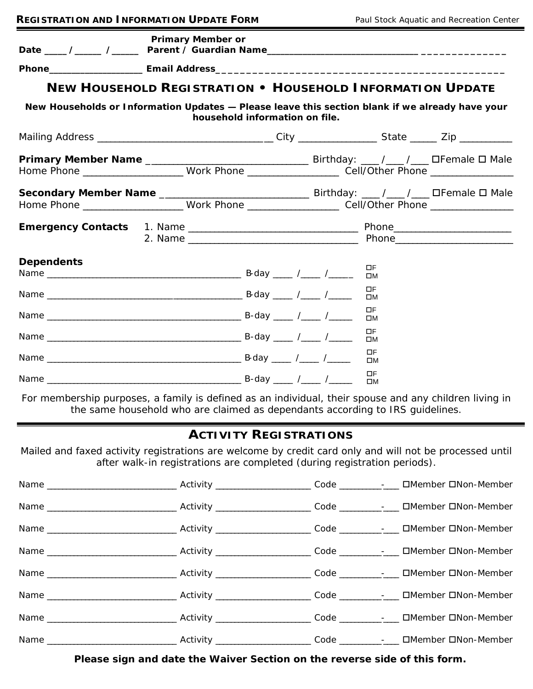| <b>REGISTRATION AND INFORMATION UPDATE FORM</b>                                                      |                                                                  |                                | Paul Stock Aquatic and Recreation Center |  |  |  |  |
|------------------------------------------------------------------------------------------------------|------------------------------------------------------------------|--------------------------------|------------------------------------------|--|--|--|--|
|                                                                                                      | <b>Primary Member or</b>                                         |                                |                                          |  |  |  |  |
|                                                                                                      |                                                                  |                                |                                          |  |  |  |  |
|                                                                                                      | <b>NEW HOUSEHOLD REGISTRATION . HOUSEHOLD INFORMATION UPDATE</b> |                                |                                          |  |  |  |  |
| New Households or Information Updates - Please leave this section blank if we already have your      |                                                                  | household information on file. |                                          |  |  |  |  |
|                                                                                                      |                                                                  |                                |                                          |  |  |  |  |
| Home Phone ______________________Work Phone _______________________Cell/Other Phone ________________ |                                                                  |                                |                                          |  |  |  |  |
| Home Phone _____________________Work Phone ____________________Cell/Other Phone ___________________  |                                                                  |                                |                                          |  |  |  |  |
|                                                                                                      |                                                                  |                                |                                          |  |  |  |  |
| <b>Dependents</b>                                                                                    |                                                                  |                                | ΠF<br>$\square M$                        |  |  |  |  |
|                                                                                                      |                                                                  |                                | <b>DF</b><br>$\square M$                 |  |  |  |  |
|                                                                                                      |                                                                  |                                | <b>DF</b><br>$\square M$                 |  |  |  |  |
|                                                                                                      |                                                                  |                                | $\Box F$<br>$\square M$                  |  |  |  |  |
|                                                                                                      |                                                                  |                                | $\Box F$<br>ПM                           |  |  |  |  |
|                                                                                                      |                                                                  |                                | $\Box F$<br>$\square M$                  |  |  |  |  |

*For membership purposes, a family is defined as an individual, their spouse and any children living in the same household who are claimed as dependants according to IRS guidelines.*

## **ACTIVITY REGISTRATIONS**

*Mailed and faxed activity registrations are welcome by credit card only and will not be processed until after walk-in registrations are completed (during registration periods).*

*Please sign and date the Waiver Section on the reverse side of this form.*